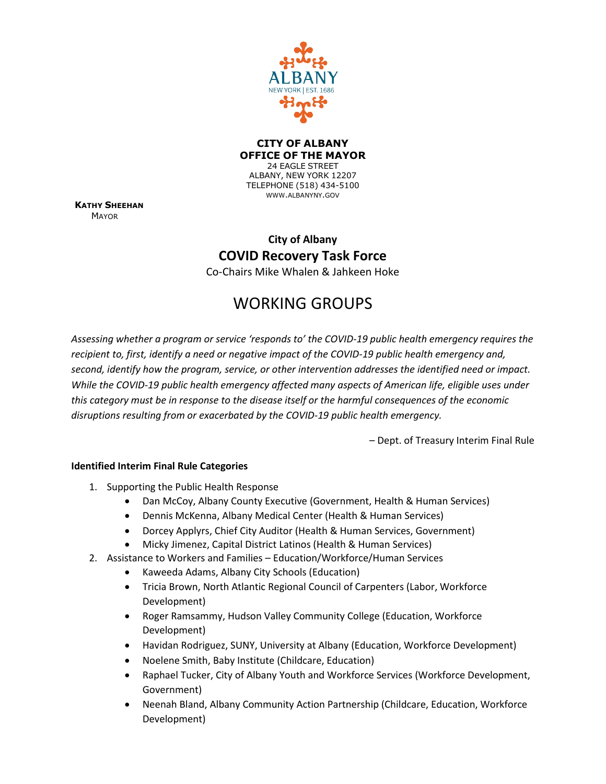

## **CITY OF ALBANY OFFICE OF THE MAYOR** 24 EAGLE STREET

ALBANY, NEW YORK 12207 TELEPHONE (518) 434-5100 WWW.ALBANYNY.GOV

**KATHY SHEEHAN MAYOR** 

## **City of Albany COVID Recovery Task Force**

Co-Chairs Mike Whalen & Jahkeen Hoke

## WORKING GROUPS

*Assessing whether a program or service 'responds to' the COVID-19 public health emergency requires the recipient to, first, identify a need or negative impact of the COVID-19 public health emergency and, second, identify how the program, service, or other intervention addresses the identified need or impact. While the COVID-19 public health emergency affected many aspects of American life, eligible uses under this category must be in response to the disease itself or the harmful consequences of the economic disruptions resulting from or exacerbated by the COVID-19 public health emergency.*

– Dept. of Treasury Interim Final Rule

## **Identified Interim Final Rule Categories**

- 1. Supporting the Public Health Response
	- Dan McCoy, Albany County Executive (Government, Health & Human Services)
	- Dennis McKenna, Albany Medical Center (Health & Human Services)
	- Dorcey Applyrs, Chief City Auditor (Health & Human Services, Government)
	- Micky Jimenez, Capital District Latinos (Health & Human Services)
- 2. Assistance to Workers and Families Education/Workforce/Human Services
	- Kaweeda Adams, Albany City Schools (Education)
	- Tricia Brown, North Atlantic Regional Council of Carpenters (Labor, Workforce Development)
	- Roger Ramsammy, Hudson Valley Community College (Education, Workforce Development)
	- Havidan Rodriguez, SUNY, University at Albany (Education, Workforce Development)
	- Noelene Smith, Baby Institute (Childcare, Education)
	- Raphael Tucker, City of Albany Youth and Workforce Services (Workforce Development, Government)
	- Neenah Bland, Albany Community Action Partnership (Childcare, Education, Workforce Development)